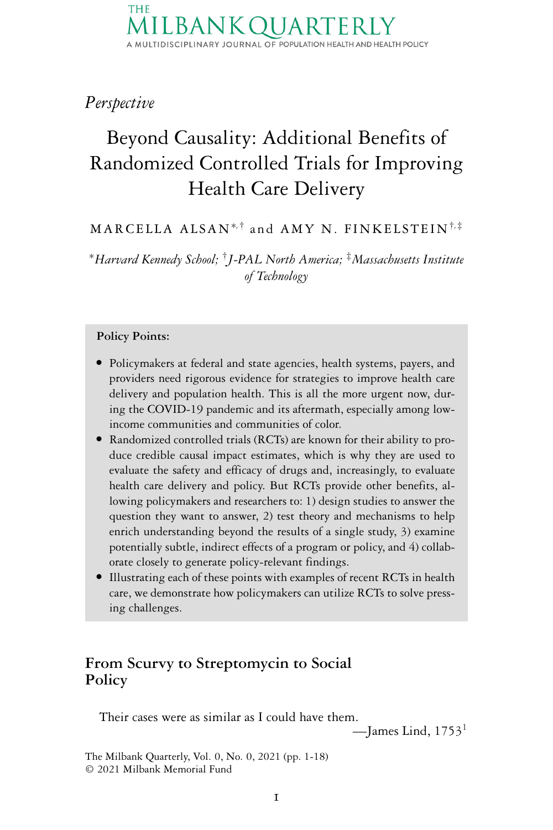*Perspective*

# Beyond Causality: Additional Benefits of Randomized Controlled Trials for Improving Health Care Delivery

MARCELLA ALSAN∗*,*† and AMY N. FINKELSTEIN†*,*‡

<sup>∗</sup>*Harvard Kennedy School;* †*J-PAL North America;* ‡*Massachusetts Institute of Technology*

#### **Policy Points:**

- Policymakers at federal and state agencies, health systems, payers, and providers need rigorous evidence for strategies to improve health care delivery and population health. This is all the more urgent now, during the COVID-19 pandemic and its aftermath, especially among lowincome communities and communities of color.
- Randomized controlled trials (RCTs) are known for their ability to produce credible causal impact estimates, which is why they are used to evaluate the safety and efficacy of drugs and, increasingly, to evaluate health care delivery and policy. But RCTs provide other benefits, allowing policymakers and researchers to: 1) design studies to answer the question they want to answer, 2) test theory and mechanisms to help enrich understanding beyond the results of a single study, 3) examine potentially subtle, indirect effects of a program or policy, and 4) collaborate closely to generate policy-relevant findings.
- Illustrating each of these points with examples of recent RCTs in health care, we demonstrate how policymakers can utilize RCTs to solve pressing challenges.

## **From Scurvy to Streptomycin to Social Policy**

Their cases were as similar as I could have them.

—James Lind,  $1753<sup>1</sup>$ 

The Milbank Quarterly, Vol. 0, No. 0, 2021 (pp. 1-18) © 2021 Milbank Memorial Fund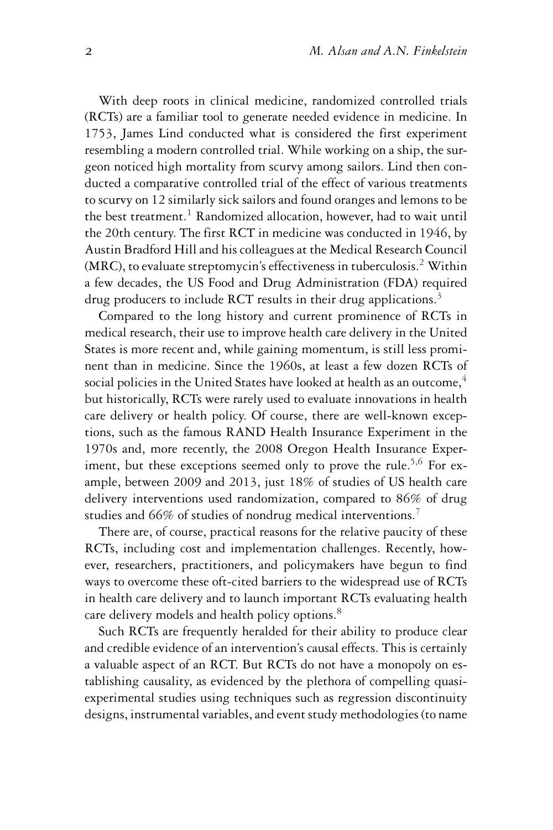With deep roots in clinical medicine, randomized controlled trials (RCTs) are a familiar tool to generate needed evidence in medicine. In 1753, James Lind conducted what is considered the first experiment resembling a modern controlled trial. While working on a ship, the surgeon noticed high mortality from scurvy among sailors. Lind then conducted a comparative controlled trial of the effect of various treatments to scurvy on 12 similarly sick sailors and found oranges and lemons to be the best treatment.<sup>1</sup> Randomized allocation, however, had to wait until the 20th century. The first RCT in medicine was conducted in 1946, by Austin Bradford Hill and his colleagues at the Medical Research Council (MRC), to evaluate streptomycin's effectiveness in tuberculosis.2 Within a few decades, the US Food and Drug Administration (FDA) required drug producers to include RCT results in their drug applications.<sup>3</sup>

Compared to the long history and current prominence of RCTs in medical research, their use to improve health care delivery in the United States is more recent and, while gaining momentum, is still less prominent than in medicine. Since the 1960s, at least a few dozen RCTs of social policies in the United States have looked at health as an outcome, $4$ but historically, RCTs were rarely used to evaluate innovations in health care delivery or health policy. Of course, there are well-known exceptions, such as the famous RAND Health Insurance Experiment in the 1970s and, more recently, the 2008 Oregon Health Insurance Experiment, but these exceptions seemed only to prove the rule.<sup>5,6</sup> For example, between 2009 and 2013, just 18% of studies of US health care delivery interventions used randomization, compared to 86% of drug studies and 66% of studies of nondrug medical interventions.<sup>7</sup>

There are, of course, practical reasons for the relative paucity of these RCTs, including cost and implementation challenges. Recently, however, researchers, practitioners, and policymakers have begun to find ways to overcome these oft-cited barriers to the widespread use of RCTs in health care delivery and to launch important RCTs evaluating health care delivery models and health policy options.<sup>8</sup>

Such RCTs are frequently heralded for their ability to produce clear and credible evidence of an intervention's causal effects. This is certainly a valuable aspect of an RCT. But RCTs do not have a monopoly on establishing causality, as evidenced by the plethora of compelling quasiexperimental studies using techniques such as regression discontinuity designs, instrumental variables, and event study methodologies (to name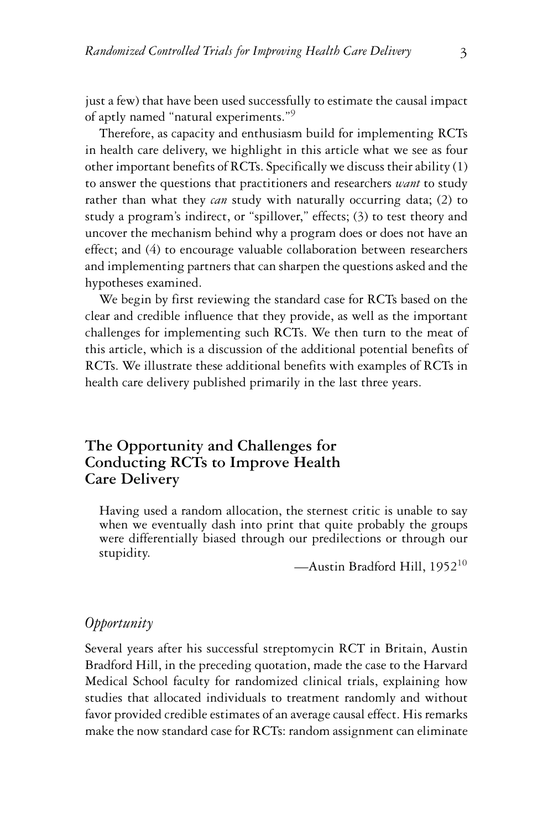just a few) that have been used successfully to estimate the causal impact of aptly named "natural experiments."9

Therefore, as capacity and enthusiasm build for implementing RCTs in health care delivery, we highlight in this article what we see as four other important benefits of RCTs. Specifically we discuss their ability (1) to answer the questions that practitioners and researchers *want* to study rather than what they *can* study with naturally occurring data; (2) to study a program's indirect, or "spillover," effects; (3) to test theory and uncover the mechanism behind why a program does or does not have an effect; and (4) to encourage valuable collaboration between researchers and implementing partners that can sharpen the questions asked and the hypotheses examined.

We begin by first reviewing the standard case for RCTs based on the clear and credible influence that they provide, as well as the important challenges for implementing such RCTs. We then turn to the meat of this article, which is a discussion of the additional potential benefits of RCTs. We illustrate these additional benefits with examples of RCTs in health care delivery published primarily in the last three years.

## **The Opportunity and Challenges for Conducting RCTs to Improve Health Care Delivery**

Having used a random allocation, the sternest critic is unable to say when we eventually dash into print that quite probably the groups were differentially biased through our predilections or through our stupidity.

—Austin Bradford Hill, 1952<sup>10</sup>

#### *Opportunity*

Several years after his successful streptomycin RCT in Britain, Austin Bradford Hill, in the preceding quotation, made the case to the Harvard Medical School faculty for randomized clinical trials, explaining how studies that allocated individuals to treatment randomly and without favor provided credible estimates of an average causal effect. His remarks make the now standard case for RCTs: random assignment can eliminate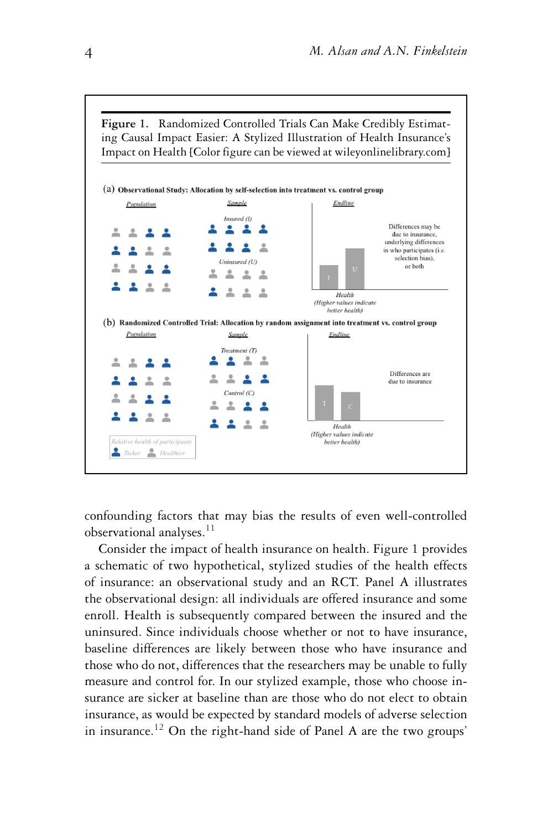

confounding factors that may bias the results of even well-controlled observational analyses.<sup>11</sup>

Consider the impact of health insurance on health. Figure 1 provides a schematic of two hypothetical, stylized studies of the health effects of insurance: an observational study and an RCT. Panel A illustrates the observational design: all individuals are offered insurance and some enroll. Health is subsequently compared between the insured and the uninsured. Since individuals choose whether or not to have insurance, baseline differences are likely between those who have insurance and those who do not, differences that the researchers may be unable to fully measure and control for. In our stylized example, those who choose insurance are sicker at baseline than are those who do not elect to obtain insurance, as would be expected by standard models of adverse selection in insurance.<sup>12</sup> On the right-hand side of Panel A are the two groups'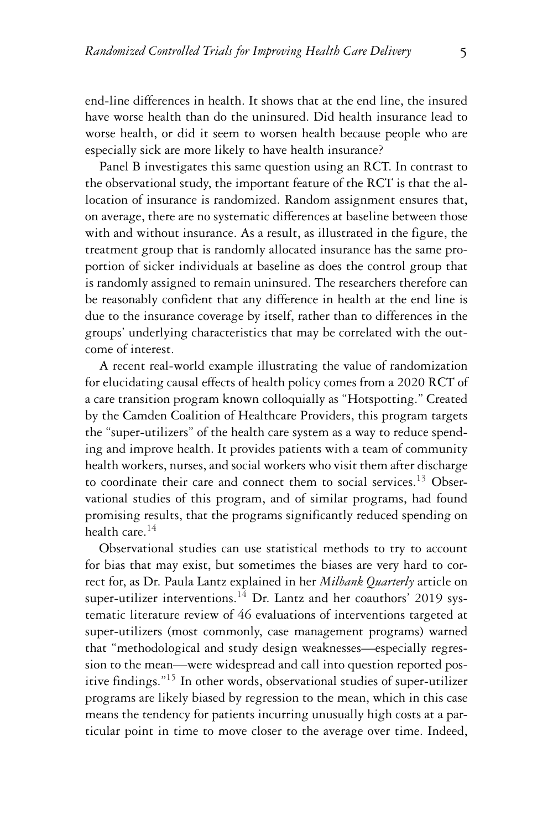end-line differences in health. It shows that at the end line, the insured have worse health than do the uninsured. Did health insurance lead to worse health, or did it seem to worsen health because people who are especially sick are more likely to have health insurance?

Panel B investigates this same question using an RCT. In contrast to the observational study, the important feature of the RCT is that the allocation of insurance is randomized. Random assignment ensures that, on average, there are no systematic differences at baseline between those with and without insurance. As a result, as illustrated in the figure, the treatment group that is randomly allocated insurance has the same proportion of sicker individuals at baseline as does the control group that is randomly assigned to remain uninsured. The researchers therefore can be reasonably confident that any difference in health at the end line is due to the insurance coverage by itself, rather than to differences in the groups' underlying characteristics that may be correlated with the outcome of interest.

A recent real-world example illustrating the value of randomization for elucidating causal effects of health policy comes from a 2020 RCT of a care transition program known colloquially as "Hotspotting." Created by the Camden Coalition of Healthcare Providers, this program targets the "super-utilizers" of the health care system as a way to reduce spending and improve health. It provides patients with a team of community health workers, nurses, and social workers who visit them after discharge to coordinate their care and connect them to social services.<sup>13</sup> Observational studies of this program, and of similar programs, had found promising results, that the programs significantly reduced spending on health care.14

Observational studies can use statistical methods to try to account for bias that may exist, but sometimes the biases are very hard to correct for, as Dr. Paula Lantz explained in her *Milbank Quarterly* article on super-utilizer interventions.<sup>14</sup> Dr. Lantz and her coauthors' 2019 systematic literature review of 46 evaluations of interventions targeted at super-utilizers (most commonly, case management programs) warned that "methodological and study design weaknesses—especially regression to the mean—were widespread and call into question reported positive findings."<sup>15</sup> In other words, observational studies of super-utilizer programs are likely biased by regression to the mean, which in this case means the tendency for patients incurring unusually high costs at a particular point in time to move closer to the average over time. Indeed,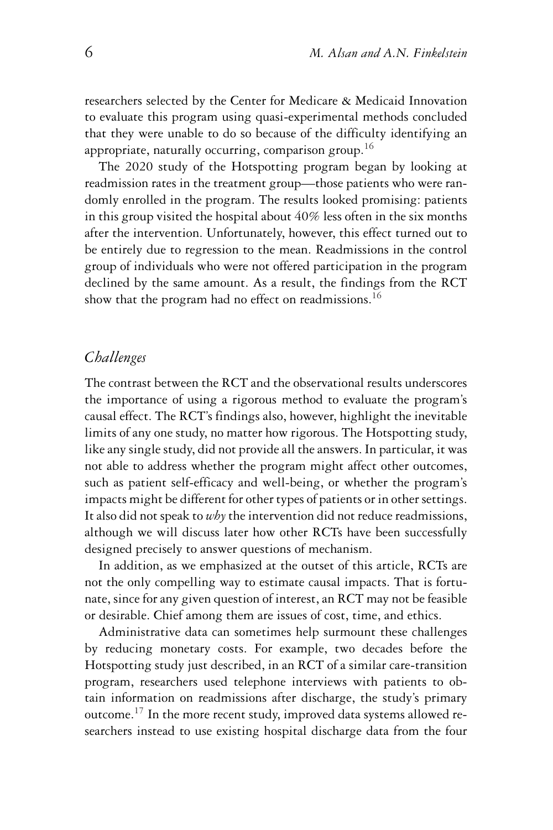researchers selected by the Center for Medicare & Medicaid Innovation to evaluate this program using quasi-experimental methods concluded that they were unable to do so because of the difficulty identifying an appropriate, naturally occurring, comparison group.<sup>16</sup>

The 2020 study of the Hotspotting program began by looking at readmission rates in the treatment group—those patients who were randomly enrolled in the program. The results looked promising: patients in this group visited the hospital about 40% less often in the six months after the intervention. Unfortunately, however, this effect turned out to be entirely due to regression to the mean. Readmissions in the control group of individuals who were not offered participation in the program declined by the same amount. As a result, the findings from the RCT show that the program had no effect on readmissions.<sup>16</sup>

#### *Challenges*

The contrast between the RCT and the observational results underscores the importance of using a rigorous method to evaluate the program's causal effect. The RCT's findings also, however, highlight the inevitable limits of any one study, no matter how rigorous. The Hotspotting study, like any single study, did not provide all the answers. In particular, it was not able to address whether the program might affect other outcomes, such as patient self-efficacy and well-being, or whether the program's impacts might be different for other types of patients or in other settings. It also did not speak to *why*the intervention did not reduce readmissions, although we will discuss later how other RCTs have been successfully designed precisely to answer questions of mechanism.

In addition, as we emphasized at the outset of this article, RCTs are not the only compelling way to estimate causal impacts. That is fortunate, since for any given question of interest, an RCT may not be feasible or desirable. Chief among them are issues of cost, time, and ethics.

Administrative data can sometimes help surmount these challenges by reducing monetary costs. For example, two decades before the Hotspotting study just described, in an RCT of a similar care-transition program, researchers used telephone interviews with patients to obtain information on readmissions after discharge, the study's primary outcome.17 In the more recent study, improved data systems allowed researchers instead to use existing hospital discharge data from the four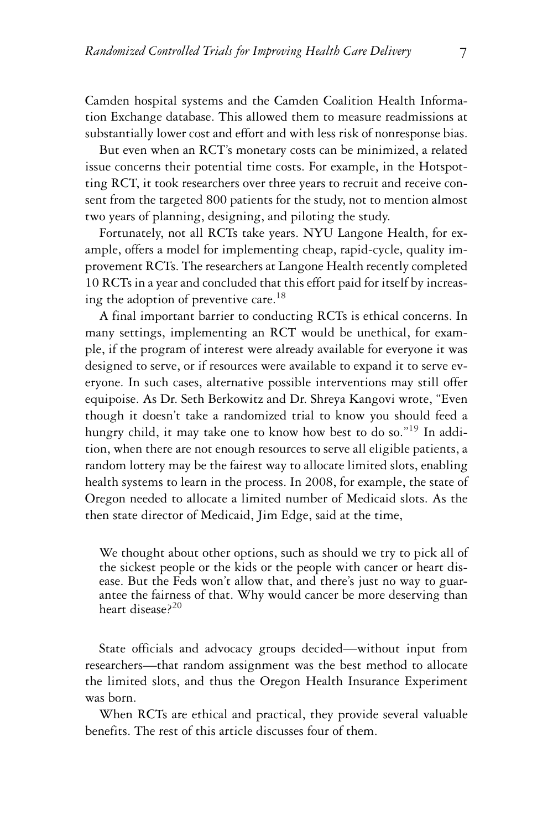Camden hospital systems and the Camden Coalition Health Information Exchange database. This allowed them to measure readmissions at substantially lower cost and effort and with less risk of nonresponse bias.

But even when an RCT's monetary costs can be minimized, a related issue concerns their potential time costs. For example, in the Hotspotting RCT, it took researchers over three years to recruit and receive consent from the targeted 800 patients for the study, not to mention almost two years of planning, designing, and piloting the study.

Fortunately, not all RCTs take years. NYU Langone Health, for example, offers a model for implementing cheap, rapid-cycle, quality improvement RCTs. The researchers at Langone Health recently completed 10 RCTs in a year and concluded that this effort paid for itself by increasing the adoption of preventive care.<sup>18</sup>

A final important barrier to conducting RCTs is ethical concerns. In many settings, implementing an RCT would be unethical, for example, if the program of interest were already available for everyone it was designed to serve, or if resources were available to expand it to serve everyone. In such cases, alternative possible interventions may still offer equipoise. As Dr. Seth Berkowitz and Dr. Shreya Kangovi wrote, "Even though it doesn't take a randomized trial to know you should feed a hungry child, it may take one to know how best to do so."<sup>19</sup> In addition, when there are not enough resources to serve all eligible patients, a random lottery may be the fairest way to allocate limited slots, enabling health systems to learn in the process. In 2008, for example, the state of Oregon needed to allocate a limited number of Medicaid slots. As the then state director of Medicaid, Jim Edge, said at the time,

We thought about other options, such as should we try to pick all of the sickest people or the kids or the people with cancer or heart disease. But the Feds won't allow that, and there's just no way to guarantee the fairness of that. Why would cancer be more deserving than heart disease<sup>220</sup>

State officials and advocacy groups decided—without input from researchers—that random assignment was the best method to allocate the limited slots, and thus the Oregon Health Insurance Experiment was born.

When RCTs are ethical and practical, they provide several valuable benefits. The rest of this article discusses four of them.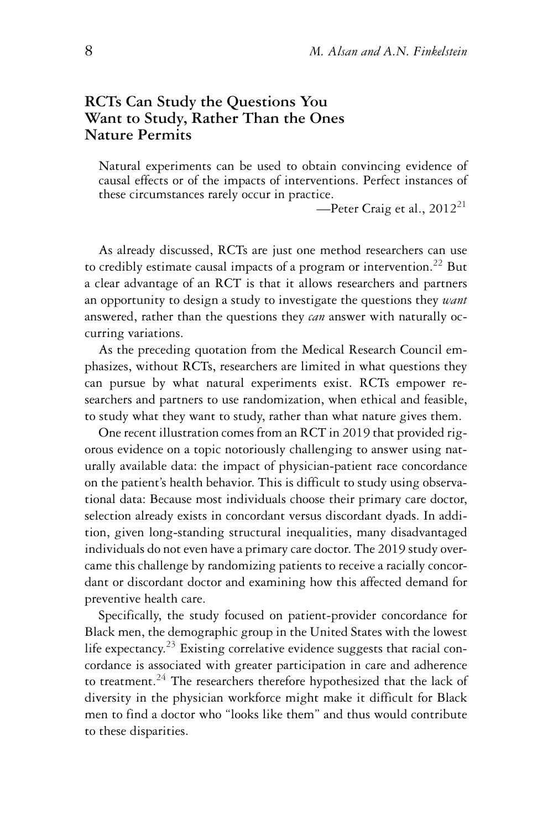## **RCTs Can Study the Questions You Want to Study, Rather Than the Ones Nature Permits**

Natural experiments can be used to obtain convincing evidence of causal effects or of the impacts of interventions. Perfect instances of these circumstances rarely occur in practice.

—Peter Craig et al.,  $2012^{21}$ 

As already discussed, RCTs are just one method researchers can use to credibly estimate causal impacts of a program or intervention.<sup>22</sup> But a clear advantage of an RCT is that it allows researchers and partners an opportunity to design a study to investigate the questions they *want* answered, rather than the questions they *can* answer with naturally occurring variations.

As the preceding quotation from the Medical Research Council emphasizes, without RCTs, researchers are limited in what questions they can pursue by what natural experiments exist. RCTs empower researchers and partners to use randomization, when ethical and feasible, to study what they want to study, rather than what nature gives them.

One recent illustration comes from an RCT in 2019 that provided rigorous evidence on a topic notoriously challenging to answer using naturally available data: the impact of physician-patient race concordance on the patient's health behavior. This is difficult to study using observational data: Because most individuals choose their primary care doctor, selection already exists in concordant versus discordant dyads. In addition, given long-standing structural inequalities, many disadvantaged individuals do not even have a primary care doctor. The 2019 study overcame this challenge by randomizing patients to receive a racially concordant or discordant doctor and examining how this affected demand for preventive health care.

Specifically, the study focused on patient-provider concordance for Black men, the demographic group in the United States with the lowest life expectancy.<sup>23</sup> Existing correlative evidence suggests that racial concordance is associated with greater participation in care and adherence to treatment.<sup>24</sup> The researchers therefore hypothesized that the lack of diversity in the physician workforce might make it difficult for Black men to find a doctor who "looks like them" and thus would contribute to these disparities.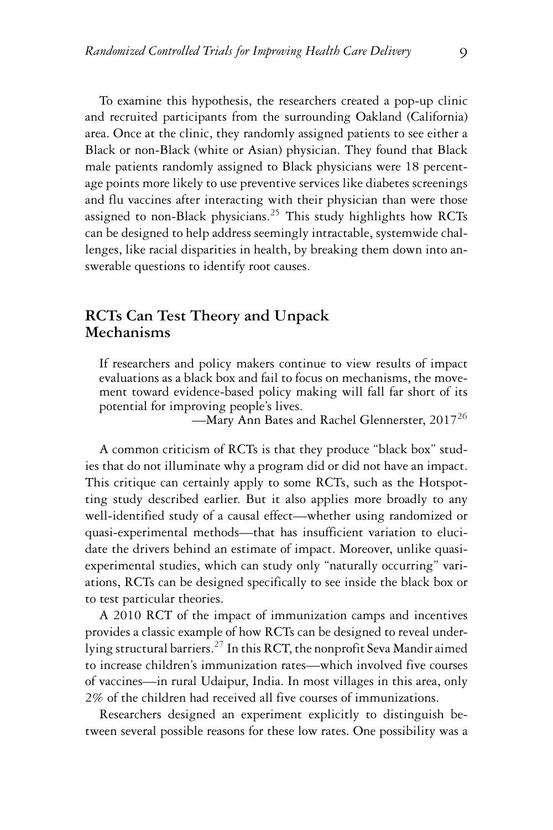To examine this hypothesis, the researchers created a pop-up clinic and recruited participants from the surrounding Oakland (California) area. Once at the clinic, they randomly assigned patients to see either a Black or non-Black (white or Asian) physician. They found that Black male patients randomly assigned to Black physicians were 18 percentage points more likely to use preventive services like diabetes screenings and flu vaccines after interacting with their physician than were those assigned to non-Black physicians.<sup>25</sup> This study highlights how RCTs can be designed to help address seemingly intractable, systemwide challenges, like racial disparities in health, by breaking them down into answerable questions to identify root causes.

#### **RCTs Can Test Theory and Unpack Mechanisms**

If researchers and policy makers continue to view results of impact evaluations as a black box and fail to focus on mechanisms, the movement toward evidence-based policy making will fall far short of its potential for improving people's lives.

—Mary Ann Bates and Rachel Glennerster, 2017<sup>26</sup>

A common criticism of RCTs is that they produce "black box" studies that do not illuminate why a program did or did not have an impact. This critique can certainly apply to some RCTs, such as the Hotspotting study described earlier. But it also applies more broadly to any well-identified study of a causal effect—whether using randomized or quasi-experimental methods—that has insufficient variation to elucidate the drivers behind an estimate of impact. Moreover, unlike quasiexperimental studies, which can study only "naturally occurring" variations, RCTs can be designed specifically to see inside the black box or to test particular theories.

A 2010 RCT of the impact of immunization camps and incentives provides a classic example of how RCTs can be designed to reveal underlying structural barriers.27 In this RCT, the nonprofit Seva Mandir aimed to increase children's immunization rates—which involved five courses of vaccines—in rural Udaipur, India. In most villages in this area, only 2% of the children had received all five courses of immunizations.

Researchers designed an experiment explicitly to distinguish between several possible reasons for these low rates. One possibility was a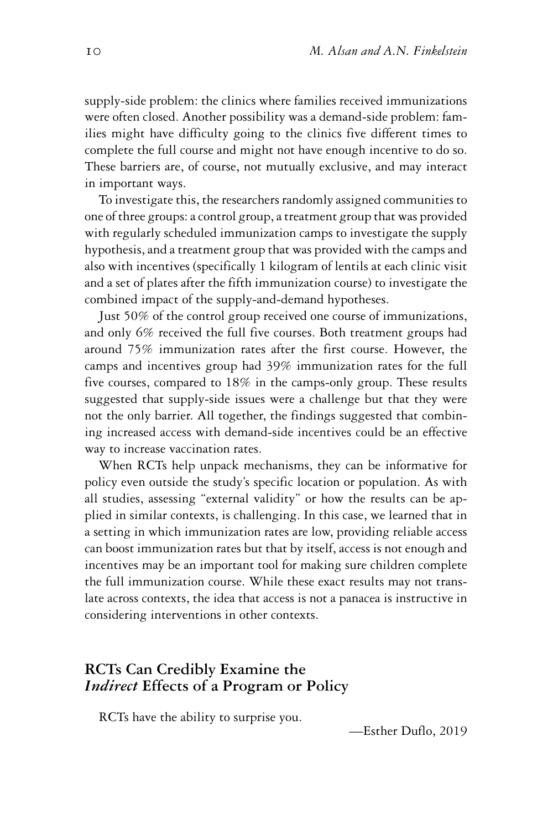supply-side problem: the clinics where families received immunizations were often closed. Another possibility was a demand-side problem: families might have difficulty going to the clinics five different times to complete the full course and might not have enough incentive to do so. These barriers are, of course, not mutually exclusive, and may interact in important ways.

To investigate this, the researchers randomly assigned communities to one of three groups: a control group, a treatment group that was provided with regularly scheduled immunization camps to investigate the supply hypothesis, and a treatment group that was provided with the camps and also with incentives (specifically 1 kilogram of lentils at each clinic visit and a set of plates after the fifth immunization course) to investigate the combined impact of the supply-and-demand hypotheses.

Just 50% of the control group received one course of immunizations, and only 6% received the full five courses. Both treatment groups had around 75% immunization rates after the first course. However, the camps and incentives group had 39% immunization rates for the full five courses, compared to 18% in the camps-only group. These results suggested that supply-side issues were a challenge but that they were not the only barrier. All together, the findings suggested that combining increased access with demand-side incentives could be an effective way to increase vaccination rates.

When RCTs help unpack mechanisms, they can be informative for policy even outside the study's specific location or population. As with all studies, assessing "external validity" or how the results can be applied in similar contexts, is challenging. In this case, we learned that in a setting in which immunization rates are low, providing reliable access can boost immunization rates but that by itself, access is not enough and incentives may be an important tool for making sure children complete the full immunization course. While these exact results may not translate across contexts, the idea that access is not a panacea is instructive in considering interventions in other contexts.

## **RCTs Can Credibly Examine the** *Indirect* **Effects of a Program or Policy**

RCTs have the ability to surprise you.

—Esther Duflo, 2019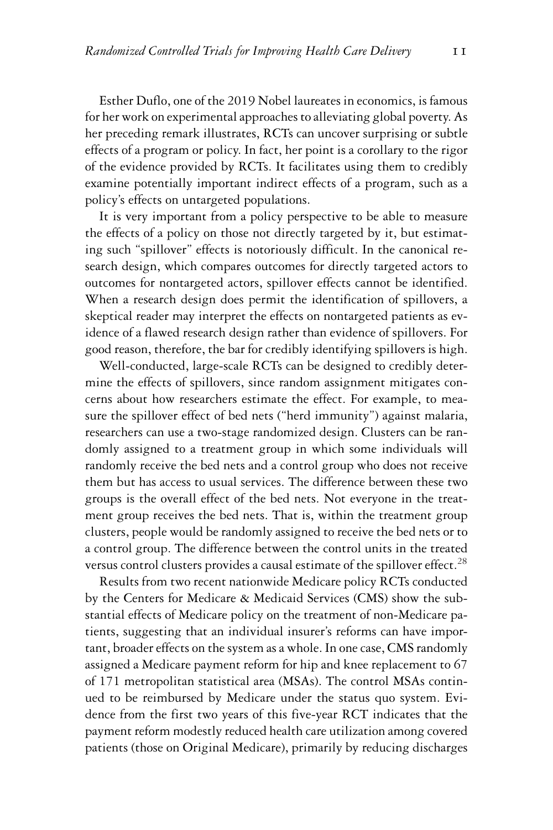Esther Duflo, one of the 2019 Nobel laureates in economics, is famous for her work on experimental approaches to alleviating global poverty. As her preceding remark illustrates, RCTs can uncover surprising or subtle effects of a program or policy. In fact, her point is a corollary to the rigor of the evidence provided by RCTs. It facilitates using them to credibly examine potentially important indirect effects of a program, such as a policy's effects on untargeted populations.

It is very important from a policy perspective to be able to measure the effects of a policy on those not directly targeted by it, but estimating such "spillover" effects is notoriously difficult. In the canonical research design, which compares outcomes for directly targeted actors to outcomes for nontargeted actors, spillover effects cannot be identified. When a research design does permit the identification of spillovers, a skeptical reader may interpret the effects on nontargeted patients as evidence of a flawed research design rather than evidence of spillovers. For good reason, therefore, the bar for credibly identifying spillovers is high.

Well-conducted, large-scale RCTs can be designed to credibly determine the effects of spillovers, since random assignment mitigates concerns about how researchers estimate the effect. For example, to measure the spillover effect of bed nets ("herd immunity") against malaria, researchers can use a two-stage randomized design. Clusters can be randomly assigned to a treatment group in which some individuals will randomly receive the bed nets and a control group who does not receive them but has access to usual services. The difference between these two groups is the overall effect of the bed nets. Not everyone in the treatment group receives the bed nets. That is, within the treatment group clusters, people would be randomly assigned to receive the bed nets or to a control group. The difference between the control units in the treated versus control clusters provides a causal estimate of the spillover effect.<sup>28</sup>

Results from two recent nationwide Medicare policy RCTs conducted by the Centers for Medicare & Medicaid Services (CMS) show the substantial effects of Medicare policy on the treatment of non-Medicare patients, suggesting that an individual insurer's reforms can have important, broader effects on the system as a whole. In one case, CMS randomly assigned a Medicare payment reform for hip and knee replacement to 67 of 171 metropolitan statistical area (MSAs). The control MSAs continued to be reimbursed by Medicare under the status quo system. Evidence from the first two years of this five-year RCT indicates that the payment reform modestly reduced health care utilization among covered patients (those on Original Medicare), primarily by reducing discharges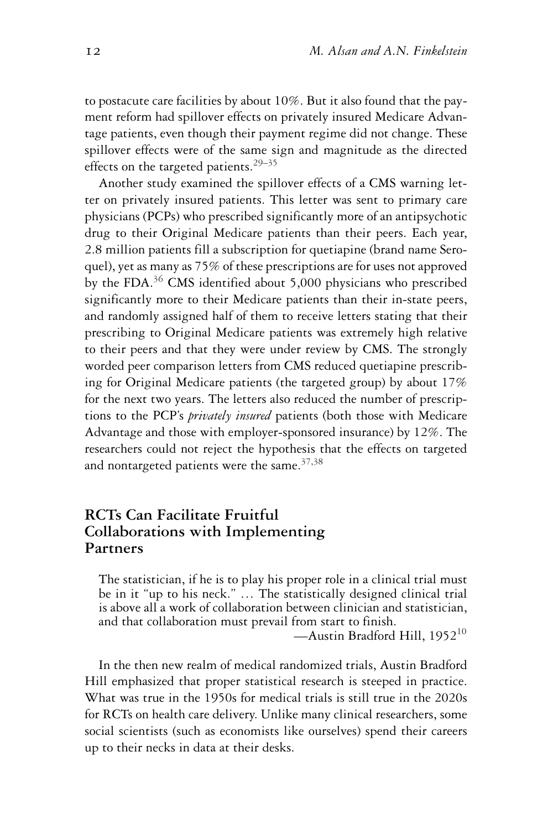to postacute care facilities by about 10%. But it also found that the payment reform had spillover effects on privately insured Medicare Advantage patients, even though their payment regime did not change. These spillover effects were of the same sign and magnitude as the directed effects on the targeted patients.<sup>29–35</sup>

Another study examined the spillover effects of a CMS warning letter on privately insured patients. This letter was sent to primary care physicians (PCPs) who prescribed significantly more of an antipsychotic drug to their Original Medicare patients than their peers. Each year, 2.8 million patients fill a subscription for quetiapine (brand name Seroquel), yet as many as 75% of these prescriptions are for uses not approved by the FDA. $36$  CMS identified about 5,000 physicians who prescribed significantly more to their Medicare patients than their in-state peers, and randomly assigned half of them to receive letters stating that their prescribing to Original Medicare patients was extremely high relative to their peers and that they were under review by CMS. The strongly worded peer comparison letters from CMS reduced quetiapine prescribing for Original Medicare patients (the targeted group) by about 17% for the next two years. The letters also reduced the number of prescriptions to the PCP's *privately insured* patients (both those with Medicare Advantage and those with employer-sponsored insurance) by 12%. The researchers could not reject the hypothesis that the effects on targeted and nontargeted patients were the same. $37,38$ 

## **RCTs Can Facilitate Fruitful Collaborations with Implementing Partners**

The statistician, if he is to play his proper role in a clinical trial must be in it "up to his neck." … The statistically designed clinical trial is above all a work of collaboration between clinician and statistician, and that collaboration must prevail from start to finish.

—Austin Bradford Hill,  $1952^{10}$ 

In the then new realm of medical randomized trials, Austin Bradford Hill emphasized that proper statistical research is steeped in practice. What was true in the 1950s for medical trials is still true in the 2020s for RCTs on health care delivery. Unlike many clinical researchers, some social scientists (such as economists like ourselves) spend their careers up to their necks in data at their desks.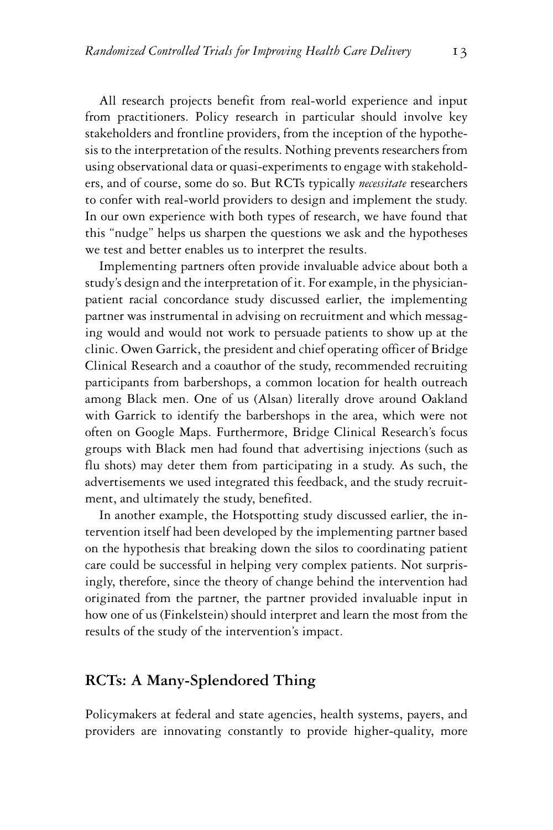All research projects benefit from real-world experience and input from practitioners. Policy research in particular should involve key stakeholders and frontline providers, from the inception of the hypothesis to the interpretation of the results. Nothing prevents researchers from using observational data or quasi-experiments to engage with stakeholders, and of course, some do so. But RCTs typically *necessitate* researchers to confer with real-world providers to design and implement the study. In our own experience with both types of research, we have found that this "nudge" helps us sharpen the questions we ask and the hypotheses we test and better enables us to interpret the results.

Implementing partners often provide invaluable advice about both a study's design and the interpretation of it. For example, in the physicianpatient racial concordance study discussed earlier, the implementing partner was instrumental in advising on recruitment and which messaging would and would not work to persuade patients to show up at the clinic. Owen Garrick, the president and chief operating officer of Bridge Clinical Research and a coauthor of the study, recommended recruiting participants from barbershops, a common location for health outreach among Black men. One of us (Alsan) literally drove around Oakland with Garrick to identify the barbershops in the area, which were not often on Google Maps. Furthermore, Bridge Clinical Research's focus groups with Black men had found that advertising injections (such as flu shots) may deter them from participating in a study. As such, the advertisements we used integrated this feedback, and the study recruitment, and ultimately the study, benefited.

In another example, the Hotspotting study discussed earlier, the intervention itself had been developed by the implementing partner based on the hypothesis that breaking down the silos to coordinating patient care could be successful in helping very complex patients. Not surprisingly, therefore, since the theory of change behind the intervention had originated from the partner, the partner provided invaluable input in how one of us (Finkelstein) should interpret and learn the most from the results of the study of the intervention's impact.

#### **RCTs: A Many-Splendored Thing**

Policymakers at federal and state agencies, health systems, payers, and providers are innovating constantly to provide higher-quality, more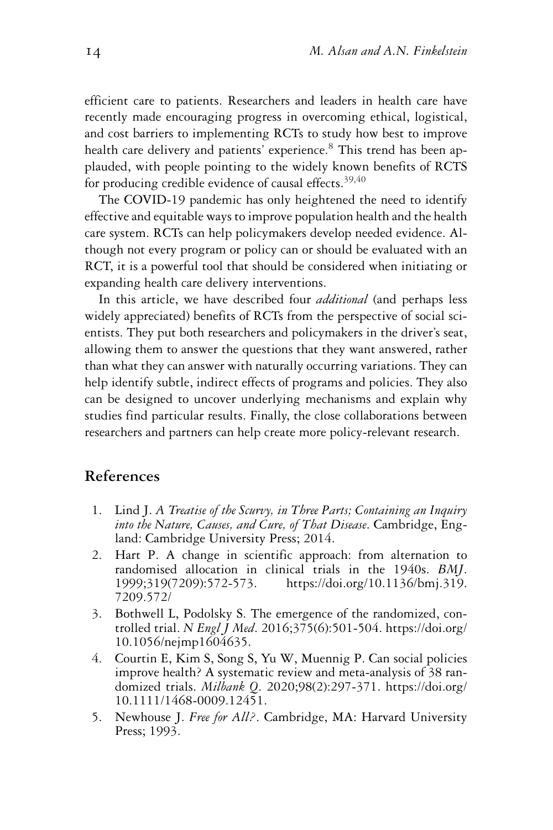efficient care to patients. Researchers and leaders in health care have recently made encouraging progress in overcoming ethical, logistical, and cost barriers to implementing RCTs to study how best to improve health care delivery and patients' experience.<sup>8</sup> This trend has been applauded, with people pointing to the widely known benefits of RCTS for producing credible evidence of causal effects.<sup>39,40</sup>

The COVID-19 pandemic has only heightened the need to identify effective and equitable ways to improve population health and the health care system. RCTs can help policymakers develop needed evidence. Although not every program or policy can or should be evaluated with an RCT, it is a powerful tool that should be considered when initiating or expanding health care delivery interventions.

In this article, we have described four *additional* (and perhaps less widely appreciated) benefits of RCTs from the perspective of social scientists. They put both researchers and policymakers in the driver's seat, allowing them to answer the questions that they want answered, rather than what they can answer with naturally occurring variations. They can help identify subtle, indirect effects of programs and policies. They also can be designed to uncover underlying mechanisms and explain why studies find particular results. Finally, the close collaborations between researchers and partners can help create more policy-relevant research.

### **References**

- 1. Lind J. *A Treatise of the Scurvy, in Three Parts; Containing an Inquiry into the Nature, Causes, and Cure, of That Disease*. Cambridge, England: Cambridge University Press; 2014.
- 2. Hart P. A change in scientific approach: from alternation to randomised allocation in clinical trials in the 1940s. *BMJ*. 1999;319(7209):572-573. [https://doi.org/10.1136/bmj.319.](https://doi.org/10.1136/bmj.319.7209.572/) [7209.572/](https://doi.org/10.1136/bmj.319.7209.572/)
- 3. Bothwell L, Podolsky S. The emergence of the randomized, controlled trial. *N Engl J Med*. 2016;375(6):501-504. [https://doi.org/](https://doi.org/10.1056/nejmp1604635) [10.1056/nejmp1604635.](https://doi.org/10.1056/nejmp1604635)
- 4. Courtin E, Kim S, Song S, Yu W, Muennig P. Can social policies improve health? A systematic review and meta-analysis of 38 randomized trials. *Milbank Q*. 2020;98(2):297-371. [https://doi.org/](https://doi.org/10.1111/1468-0009.12451) [10.1111/1468-0009.12451.](https://doi.org/10.1111/1468-0009.12451)
- 5. Newhouse J. *Free for All?*. Cambridge, MA: Harvard University Press; 1993.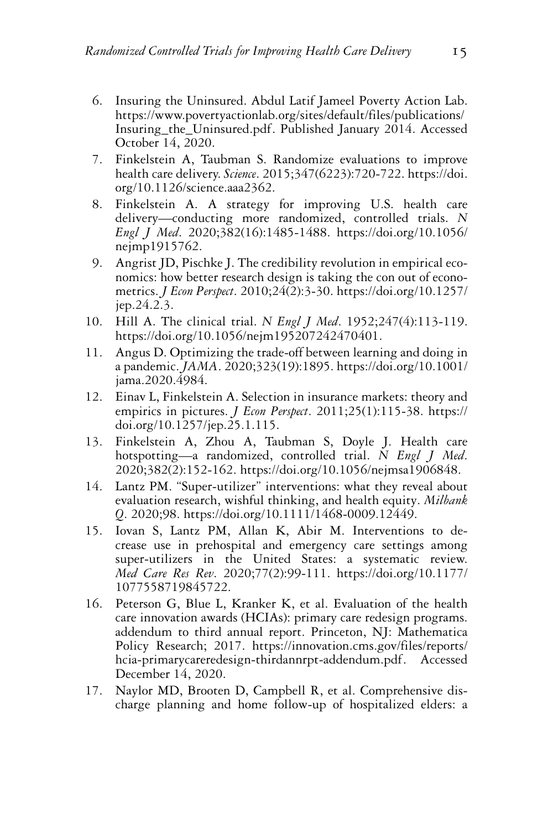- 6. Insuring the Uninsured. Abdul Latif Jameel Poverty Action Lab. [https://www.povertyactionlab.org/sites/default/files/publications/](https://www.povertyactionlab.org/sites/default/files/publications/Insuring_the_Uninsured.pdf) [Insuring\\_the\\_Uninsured.pdf.](https://www.povertyactionlab.org/sites/default/files/publications/Insuring_the_Uninsured.pdf) Published January 2014. Accessed October 14, 2020.
- 7. Finkelstein A, Taubman S. Randomize evaluations to improve health care delivery. *Science*. 2015;347(6223):720-722. [https://doi.](https://doi.org/10.1126/science.aaa2362) [org/10.1126/science.aaa2362.](https://doi.org/10.1126/science.aaa2362)
- 8. Finkelstein A. A strategy for improving U.S. health care delivery—conducting more randomized, controlled trials. *N Engl J Med*. 2020;382(16):1485-1488. [https://doi.org/10.1056/](https://doi.org/10.1056/nejmp1915762) [nejmp1915762.](https://doi.org/10.1056/nejmp1915762)
- 9. Angrist JD, Pischke J. The credibility revolution in empirical economics: how better research design is taking the con out of econometrics. *J Econ Perspect*. 2010;24(2):3-30. [https://doi.org/10.1257/](https://doi.org/10.1257/jep.24.2.3) [jep.24.2.3.](https://doi.org/10.1257/jep.24.2.3)
- 10. Hill A. The clinical trial. *N Engl J Med*. 1952;247(4):113-119. [https://doi.org/10.1056/nejm195207242470401.](https://doi.org/10.1056/nejm195207242470401)
- 11. Angus D. Optimizing the trade-off between learning and doing in a pandemic. *JAMA*. 2020;323(19):1895. [https://doi.org/10.1001/](https://doi.org/10.1001/jama.2020.4984) [jama.2020.4984.](https://doi.org/10.1001/jama.2020.4984)
- 12. Einav L, Finkelstein A. Selection in insurance markets: theory and empirics in pictures. *J Econ Perspect*. 2011;25(1):115-38. [https://](https://doi.org/10.1257/jep.25.1.115) [doi.org/10.1257/jep.25.1.115.](https://doi.org/10.1257/jep.25.1.115)
- 13. Finkelstein A, Zhou A, Taubman S, Doyle J. Health care hotspotting—a randomized, controlled trial. *N Engl J Med*. 2020;382(2):152-162. [https://doi.org/10.1056/nejmsa1906848.](https://doi.org/10.1056/nejmsa1906848)
- 14. Lantz PM. "Super-utilizer" interventions: what they reveal about evaluation research, wishful thinking, and health equity. *Milbank Q*. 2020;98. [https://doi.org/10.1111/1468-0009.12449.](https://doi.org/10.1111/1468-0009.12449)
- 15. Iovan S, Lantz PM, Allan K, Abir M. Interventions to decrease use in prehospital and emergency care settings among super-utilizers in the United States: a systematic review. *Med Care Res Rev*. 2020;77(2):99-111. [https://doi.org/10.1177/](https://doi.org/10.1177/1077558719845722) [1077558719845722.](https://doi.org/10.1177/1077558719845722)
- 16. Peterson G, Blue L, Kranker K, et al. Evaluation of the health care innovation awards (HCIAs): primary care redesign programs. addendum to third annual report. Princeton, NJ: Mathematica Policy Research; 2017. [https://innovation.cms.gov/files/reports/](https://innovation.cms.gov/files/reports/hcia-primarycareredesign-thirdannrpt-addendum.pdf) [hcia-primarycareredesign-thirdannrpt-addendum.pdf.](https://innovation.cms.gov/files/reports/hcia-primarycareredesign-thirdannrpt-addendum.pdf) Accessed December 14, 2020.
- 17. Naylor MD, Brooten D, Campbell R, et al. Comprehensive discharge planning and home follow-up of hospitalized elders: a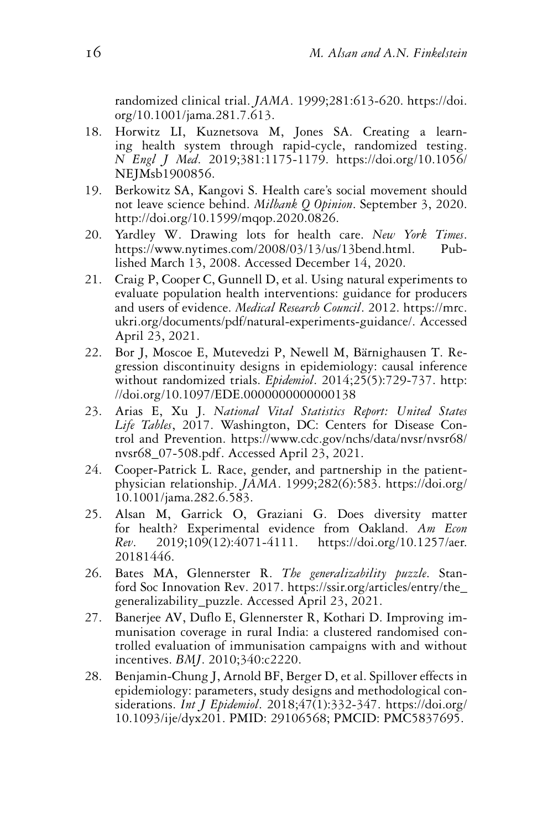randomized clinical trial. *JAMA*. 1999;281:613-620. [https://doi.](https://doi.org/10.1001/jama.281.7.613) [org/10.1001/jama.281.7.613.](https://doi.org/10.1001/jama.281.7.613)

- 18. Horwitz LI, Kuznetsova M, Jones SA. Creating a learning health system through rapid-cycle, randomized testing. *N Engl J Med*. 2019;381:1175-1179. [https://doi.org/10.1056/](https://doi.org/10.1056/NEJMsb1900856) [NEJMsb1900856.](https://doi.org/10.1056/NEJMsb1900856)
- 19. Berkowitz SA, Kangovi S. Health care's social movement should not leave science behind. *Milbank Q Opinion*. September 3, 2020. [http://doi.org/10.1599/mqop.2020.0826.](http://doi.org/10.1599/mqop.2020.0826)
- 20. Yardley W. Drawing lots for health care. *New York Times*. [https://www.nytimes.com/2008/03/13/us/13bend.html.](https://www.nytimes.com/2008/03/13/us/13bend.html) Published March 13, 2008. Accessed December 14, 2020.
- 21. Craig P, Cooper C, Gunnell D, et al. Using natural experiments to evaluate population health interventions: guidance for producers and users of evidence. *Medical Research Council*. 2012. [https://mrc.](https://mrc.ukri.org/documents/pdf/natural-experiments-guidance/) [ukri.org/documents/pdf/natural-experiments-guidance/.](https://mrc.ukri.org/documents/pdf/natural-experiments-guidance/) Accessed April 23, 2021.
- 22. Bor J, Moscoe E, Mutevedzi P, Newell M, Bärnighausen T. Regression discontinuity designs in epidemiology: causal inference without randomized trials. *Epidemiol*. 2014;25(5):729-737. [http:](http://doi.org/10.1097/EDE.0000000000000138) [//doi.org/10.1097/EDE.0000000000000138](http://doi.org/10.1097/EDE.0000000000000138)
- 23. Arias E, Xu J. *National Vital Statistics Report: United States Life Tables*, 2017. Washington, DC: Centers for Disease Control and Prevention. [https://www.cdc.gov/nchs/data/nvsr/nvsr68/](https://www.cdc.gov/nchs/data/nvsr/nvsr68/nvsr68_07-508.pdf) [nvsr68\\_07-508.pdf.](https://www.cdc.gov/nchs/data/nvsr/nvsr68/nvsr68_07-508.pdf) Accessed April 23, 2021.
- 24. Cooper-Patrick L. Race, gender, and partnership in the patientphysician relationship. *JAMA*. 1999;282(6):583. [https://doi.org/](https://doi.org/10.1001/jama.282.6.583) [10.1001/jama.282.6.583.](https://doi.org/10.1001/jama.282.6.583)
- 25. Alsan M, Garrick O, Graziani G. Does diversity matter for health? Experimental evidence from Oakland. *Am Econ Rev*. 2019;109(12):4071-4111. [https://doi.org/10.1257/aer.](https://doi.org/10.1257/aer.20181446) [20181446.](https://doi.org/10.1257/aer.20181446)
- 26. Bates MA, Glennerster R. *The generalizability puzzle*. Stanford Soc Innovation Rev. 2017. [https://ssir.org/articles/entry/the\\_](https://ssir.org/articles/entry/the_generalizability_puzzle) [generalizability\\_puzzle.](https://ssir.org/articles/entry/the_generalizability_puzzle) Accessed April 23, 2021.
- 27. Banerjee AV, Duflo E, Glennerster R, Kothari D. Improving immunisation coverage in rural India: a clustered randomised controlled evaluation of immunisation campaigns with and without incentives. *BMJ*. 2010;340:c2220.
- 28. Benjamin-Chung J, Arnold BF, Berger D, et al. Spillover effects in epidemiology: parameters, study designs and methodological considerations. *Int J Epidemiol*. 2018;47(1):332-347. [https://doi.org/](https://doi.org/10.1093/ije/dyx201) [10.1093/ije/dyx201.](https://doi.org/10.1093/ije/dyx201) PMID: 29106568; PMCID: PMC5837695.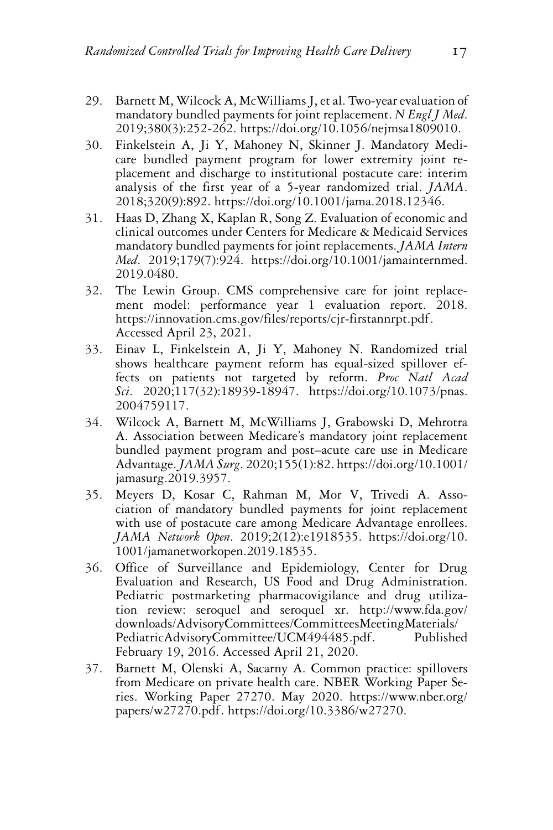- 29. Barnett M, Wilcock A, McWilliams J, et al. Two-year evaluation of mandatory bundled payments for joint replacement. N *Engl J Med*. 2019;380(3):252-262. [https://doi.org/10.1056/nejmsa1809010.](https://doi.org/10.1056/nejmsa1809010)
- 30. Finkelstein A, Ji Y, Mahoney N, Skinner J. Mandatory Medicare bundled payment program for lower extremity joint replacement and discharge to institutional postacute care: interim analysis of the first year of a 5-year randomized trial. *JAMA*. 2018;320(9):892. [https://doi.org/10.1001/jama.2018.12346.](https://doi.org/10.1001/jama.2018.12346)
- 31. Haas D, Zhang X, Kaplan R, Song Z. Evaluation of economic and clinical outcomes under Centers for Medicare & Medicaid Services mandatory bundled payments for joint replacements. *JAMA Intern Med*. 2019;179(7):924. [https://doi.org/10.1001/jamainternmed.](https://doi.org/10.1001/jamainternmed.2019.0480) [2019.0480.](https://doi.org/10.1001/jamainternmed.2019.0480)
- 32. The Lewin Group. CMS comprehensive care for joint replacement model: performance year 1 evaluation report. 2018. [https://innovation.cms.gov/files/reports/cjr-firstannrpt.pdf.](https://innovation.cms.gov/files/reports/cjr-firstannrpt.pdf) Accessed April 23, 2021.
- 33. Einav L, Finkelstein A, Ji Y, Mahoney N. Randomized trial shows healthcare payment reform has equal-sized spillover effects on patients not targeted by reform. *Proc Natl Acad Sci*. 2020;117(32):18939-18947. [https://doi.org/10.1073/pnas.](https://doi.org/10.1073/pnas.2004759117) [2004759117.](https://doi.org/10.1073/pnas.2004759117)
- 34. Wilcock A, Barnett M, McWilliams J, Grabowski D, Mehrotra A. Association between Medicare's mandatory joint replacement bundled payment program and post–acute care use in Medicare Advantage.*JAMA Surg*. 2020;155(1):82. [https://doi.org/10.1001/](https://doi.org/10.1001/jamasurg.2019.3957) [jamasurg.2019.3957.](https://doi.org/10.1001/jamasurg.2019.3957)
- 35. Meyers D, Kosar C, Rahman M, Mor V, Trivedi A. Association of mandatory bundled payments for joint replacement with use of postacute care among Medicare Advantage enrollees. *JAMA Network Open*. 2019;2(12):e1918535. [https://doi.org/10.](https://doi.org/10.1001/jamanetworkopen.2019.18535) [1001/jamanetworkopen.2019.18535.](https://doi.org/10.1001/jamanetworkopen.2019.18535)
- 36. Office of Surveillance and Epidemiology, Center for Drug Evaluation and Research, US Food and Drug Administration. Pediatric postmarketing pharmacovigilance and drug utilization review: seroquel and seroquel xr. [http://www.fda.gov/](http://www.fda.gov/downloads/AdvisoryCommittees/CommitteesMeetingMaterials/PediatricAdvisoryCommittee/UCM494485.pdf) [downloads/AdvisoryCommittees/CommitteesMeetingMaterials/](http://www.fda.gov/downloads/AdvisoryCommittees/CommitteesMeetingMaterials/PediatricAdvisoryCommittee/UCM494485.pdf) [PediatricAdvisoryCommittee/UCM494485.pdf.](http://www.fda.gov/downloads/AdvisoryCommittees/CommitteesMeetingMaterials/PediatricAdvisoryCommittee/UCM494485.pdf) Published February 19, 2016. Accessed April 21, 2020.
- 37. Barnett M, Olenski A, Sacarny A. Common practice: spillovers from Medicare on private health care. NBER Working Paper Series. Working Paper 27270. May 2020. [https://www.nber.org/](https://www.nber.org/papers/w27270.pdf) [papers/w27270.pdf.](https://www.nber.org/papers/w27270.pdf) [https://doi.org/10.3386/w27270.](https://doi.org/10.3386/w27270)